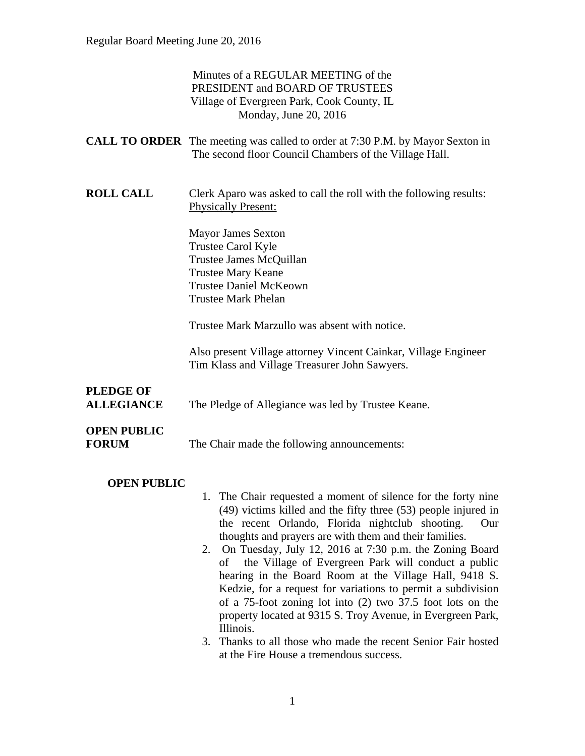|                                       | Minutes of a REGULAR MEETING of the<br>PRESIDENT and BOARD OF TRUSTEES<br>Village of Evergreen Park, Cook County, IL<br>Monday, June 20, 2016                                                                                                           |
|---------------------------------------|---------------------------------------------------------------------------------------------------------------------------------------------------------------------------------------------------------------------------------------------------------|
|                                       | <b>CALL TO ORDER</b> The meeting was called to order at 7:30 P.M. by Mayor Sexton in<br>The second floor Council Chambers of the Village Hall.                                                                                                          |
| <b>ROLL CALL</b>                      | Clerk Aparo was asked to call the roll with the following results:<br><b>Physically Present:</b>                                                                                                                                                        |
|                                       | <b>Mayor James Sexton</b><br>Trustee Carol Kyle<br>Trustee James McQuillan<br><b>Trustee Mary Keane</b><br><b>Trustee Daniel McKeown</b><br><b>Trustee Mark Phelan</b>                                                                                  |
|                                       | Trustee Mark Marzullo was absent with notice.                                                                                                                                                                                                           |
|                                       | Also present Village attorney Vincent Cainkar, Village Engineer<br>Tim Klass and Village Treasurer John Sawyers.                                                                                                                                        |
| <b>PLEDGE OF</b><br><b>ALLEGIANCE</b> | The Pledge of Allegiance was led by Trustee Keane.                                                                                                                                                                                                      |
| <b>OPEN PUBLIC</b><br><b>FORUM</b>    | The Chair made the following announcements:                                                                                                                                                                                                             |
| <b>OPEN PUBLIC</b>                    | 1. The Chair requested a moment of silence for the forty nine<br>$(49)$ victims killed and the fifty three $(53)$ people injured in<br>the recent Orlando, Florida nightclub shooting.<br>Our<br>thoughts and prayers are with them and their families. |

- 2. On Tuesday, July 12, 2016 at 7:30 p.m. the Zoning Board of the Village of Evergreen Park will conduct a public hearing in the Board Room at the Village Hall, 9418 S. Kedzie, for a request for variations to permit a subdivision of a 75-foot zoning lot into (2) two 37.5 foot lots on the property located at 9315 S. Troy Avenue, in Evergreen Park, Illinois.
- 3. Thanks to all those who made the recent Senior Fair hosted at the Fire House a tremendous success.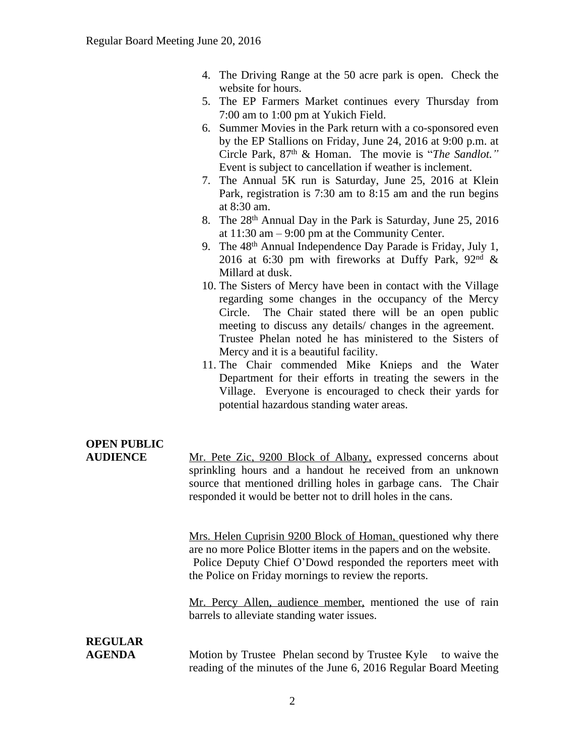- 4. The Driving Range at the 50 acre park is open. Check the website for hours.
- 5. The EP Farmers Market continues every Thursday from 7:00 am to 1:00 pm at Yukich Field.
- 6. Summer Movies in the Park return with a co-sponsored even by the EP Stallions on Friday, June 24, 2016 at 9:00 p.m. at Circle Park, 87th & Homan. The movie is "*The Sandlot."* Event is subject to cancellation if weather is inclement.
- 7. The Annual 5K run is Saturday, June 25, 2016 at Klein Park, registration is 7:30 am to 8:15 am and the run begins at 8:30 am.
- 8. The 28<sup>th</sup> Annual Day in the Park is Saturday, June 25, 2016 at 11:30 am – 9:00 pm at the Community Center.
- 9. The 48<sup>th</sup> Annual Independence Day Parade is Friday, July 1, 2016 at 6:30 pm with fireworks at Duffy Park,  $92<sup>nd</sup>$  & Millard at dusk.
- 10. The Sisters of Mercy have been in contact with the Village regarding some changes in the occupancy of the Mercy Circle. The Chair stated there will be an open public meeting to discuss any details/ changes in the agreement. Trustee Phelan noted he has ministered to the Sisters of Mercy and it is a beautiful facility.
- 11. The Chair commended Mike Knieps and the Water Department for their efforts in treating the sewers in the Village. Everyone is encouraged to check their yards for potential hazardous standing water areas.

# **OPEN PUBLIC**

**AUDIENCE** Mr. Pete Zic, 9200 Block of Albany, expressed concerns about sprinkling hours and a handout he received from an unknown source that mentioned drilling holes in garbage cans. The Chair responded it would be better not to drill holes in the cans.

> Mrs. Helen Cuprisin 9200 Block of Homan, questioned why there are no more Police Blotter items in the papers and on the website. Police Deputy Chief O'Dowd responded the reporters meet with the Police on Friday mornings to review the reports.

> Mr. Percy Allen, audience member, mentioned the use of rain barrels to alleviate standing water issues.

# **REGULAR**

**AGENDA** Motion by Trustee Phelan second by Trustee Kyle to waive the reading of the minutes of the June 6, 2016 Regular Board Meeting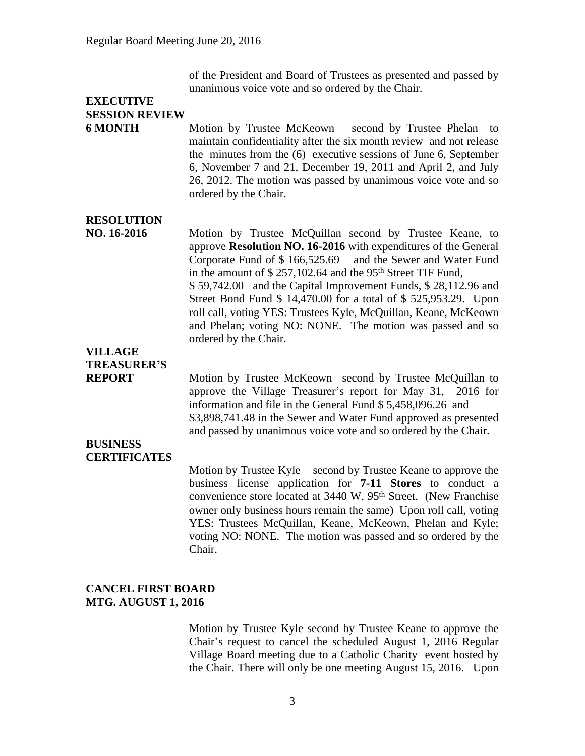of the President and Board of Trustees as presented and passed by unanimous voice vote and so ordered by the Chair.

## **EXECUTIVE SESSION REVIEW**

**6 MONTH** Motion by Trustee McKeown second by Trustee Phelan to maintain confidentiality after the six month review and not release the minutes from the (6) executive sessions of June 6, September 6, November 7 and 21, December 19, 2011 and April 2, and July 26, 2012. The motion was passed by unanimous voice vote and so ordered by the Chair.

### **RESOLUTION**

**NO. 16-2016** Motion by Trustee McQuillan second by Trustee Keane, to approve **Resolution NO. 16-2016** with expenditures of the General Corporate Fund of \$ 166,525.69 and the Sewer and Water Fund in the amount of  $$ 257,102.64$  and the 95<sup>th</sup> Street TIF Fund, \$ 59,742.00 and the Capital Improvement Funds, \$ 28,112.96 and Street Bond Fund \$ 14,470.00 for a total of \$ 525,953.29. Upon roll call, voting YES: Trustees Kyle, McQuillan, Keane, McKeown and Phelan; voting NO: NONE. The motion was passed and so ordered by the Chair.

## **VILLAGE TREASURER'S**

**REPORT** Motion by Trustee McKeown second by Trustee McQuillan to approve the Village Treasurer's report for May 31, 2016 for information and file in the General Fund \$ 5,458,096.26 and \$3,898,741.48 in the Sewer and Water Fund approved as presented and passed by unanimous voice vote and so ordered by the Chair.

#### **BUSINESS CERTIFICATES**

Motion by Trustee Kyle second by Trustee Keane to approve the business license application for **7-11 Stores** to conduct a convenience store located at 3440 W. 95<sup>th</sup> Street. (New Franchise owner only business hours remain the same) Upon roll call, voting YES: Trustees McQuillan, Keane, McKeown, Phelan and Kyle; voting NO: NONE. The motion was passed and so ordered by the Chair.

#### **CANCEL FIRST BOARD MTG. AUGUST 1, 2016**

Motion by Trustee Kyle second by Trustee Keane to approve the Chair's request to cancel the scheduled August 1, 2016 Regular Village Board meeting due to a Catholic Charity event hosted by the Chair. There will only be one meeting August 15, 2016. Upon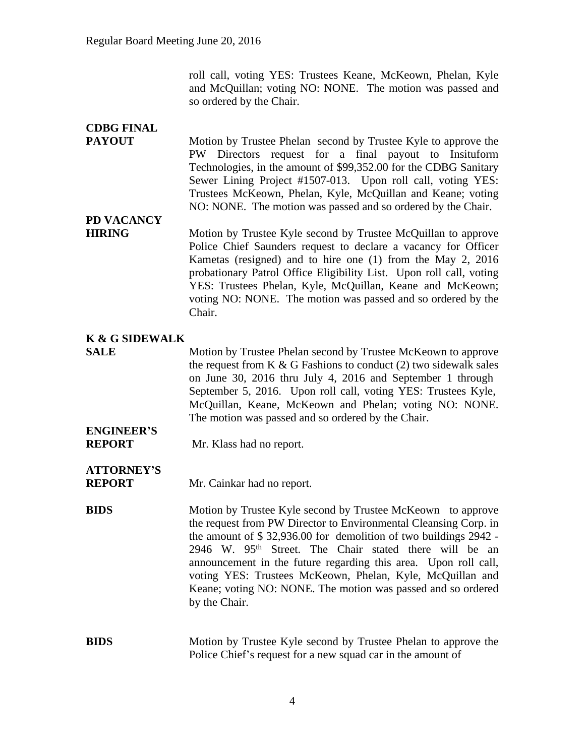roll call, voting YES: Trustees Keane, McKeown, Phelan, Kyle and McQuillan; voting NO: NONE. The motion was passed and so ordered by the Chair.

## **CDBG FINAL**

**PAYOUT** Motion by Trustee Phelan second by Trustee Kyle to approve the PW Directors request for a final payout to Insituform Technologies, in the amount of \$99,352.00 for the CDBG Sanitary Sewer Lining Project #1507-013. Upon roll call, voting YES: Trustees McKeown, Phelan, Kyle, McQuillan and Keane; voting NO: NONE. The motion was passed and so ordered by the Chair.

## **PD VACANCY**

**HIRING** Motion by Trustee Kyle second by Trustee McQuillan to approve Police Chief Saunders request to declare a vacancy for Officer Kametas (resigned) and to hire one (1) from the May 2, 2016 probationary Patrol Office Eligibility List. Upon roll call, voting YES: Trustees Phelan, Kyle, McQuillan, Keane and McKeown; voting NO: NONE. The motion was passed and so ordered by the Chair.

## **K & G SIDEWALK**

**SALE** Motion by Trustee Phelan second by Trustee McKeown to approve the request from K  $\&$  G Fashions to conduct (2) two sidewalk sales on June 30, 2016 thru July 4, 2016 and September 1 through September 5, 2016. Upon roll call, voting YES: Trustees Kyle, McQuillan, Keane, McKeown and Phelan; voting NO: NONE. The motion was passed and so ordered by the Chair.

## **ENGINEER'S**

**REPORT** Mr. Klass had no report.

## **ATTORNEY'S**

**REPORT** Mr. Cainkar had no report.

**BIDS** Motion by Trustee Kyle second by Trustee McKeown to approve the request from PW Director to Environmental Cleansing Corp. in the amount of \$ 32,936.00 for demolition of two buildings 2942 - 2946 W. 95th Street. The Chair stated there will be an announcement in the future regarding this area. Upon roll call, voting YES: Trustees McKeown, Phelan, Kyle, McQuillan and Keane; voting NO: NONE. The motion was passed and so ordered by the Chair.

### **BIDS** Motion by Trustee Kyle second by Trustee Phelan to approve the Police Chief's request for a new squad car in the amount of